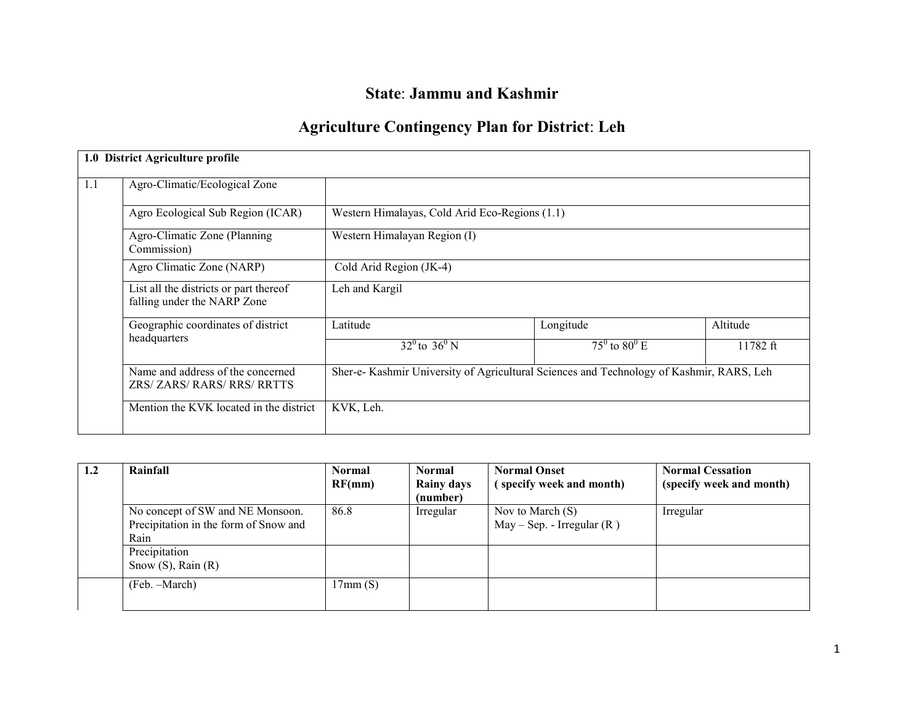# State: Jammu and Kashmir

# Agriculture Contingency Plan for District: Leh

|     | 1.0 District Agriculture profile                                      |                                                                                         |                                |          |
|-----|-----------------------------------------------------------------------|-----------------------------------------------------------------------------------------|--------------------------------|----------|
| 1.1 | Agro-Climatic/Ecological Zone                                         |                                                                                         |                                |          |
|     | Agro Ecological Sub Region (ICAR)                                     | Western Himalayas, Cold Arid Eco-Regions (1.1)                                          |                                |          |
|     | Agro-Climatic Zone (Planning)<br>Commission)                          | Western Himalayan Region (I)                                                            |                                |          |
|     | Agro Climatic Zone (NARP)                                             | Cold Arid Region (JK-4)                                                                 |                                |          |
|     | List all the districts or part thereof<br>falling under the NARP Zone | Leh and Kargil                                                                          |                                |          |
|     | Geographic coordinates of district<br>headquarters                    | Latitude                                                                                | Longitude                      | Altitude |
|     |                                                                       | $32^0$ to $36^0$ N                                                                      | $75^{\circ}$ to $80^{\circ}$ E | 11782 ft |
|     | Name and address of the concerned<br>ZRS/ ZARS/ RARS/ RRS/ RRTTS      | Sher-e-Kashmir University of Agricultural Sciences and Technology of Kashmir, RARS, Leh |                                |          |
|     | Mention the KVK located in the district                               | KVK, Leh.                                                                               |                                |          |

| 1.2 | Rainfall                              | <b>Normal</b> | <b>Normal</b>     | <b>Normal Onset</b>          | <b>Normal Cessation</b>  |
|-----|---------------------------------------|---------------|-------------------|------------------------------|--------------------------|
|     |                                       | RF(mm)        | <b>Rainy days</b> | (specify week and month)     | (specify week and month) |
|     |                                       |               | (number)          |                              |                          |
|     | No concept of SW and NE Monsoon.      | 86.8          | Irregular         | Nov to March $(S)$           | Irregular                |
|     | Precipitation in the form of Snow and |               |                   | $May - Sep. - Irregular (R)$ |                          |
|     | Rain                                  |               |                   |                              |                          |
|     | Precipitation                         |               |                   |                              |                          |
|     | Snow $(S)$ , Rain $(R)$               |               |                   |                              |                          |
|     | (Feb. –March)                         | 17mm(S)       |                   |                              |                          |
|     |                                       |               |                   |                              |                          |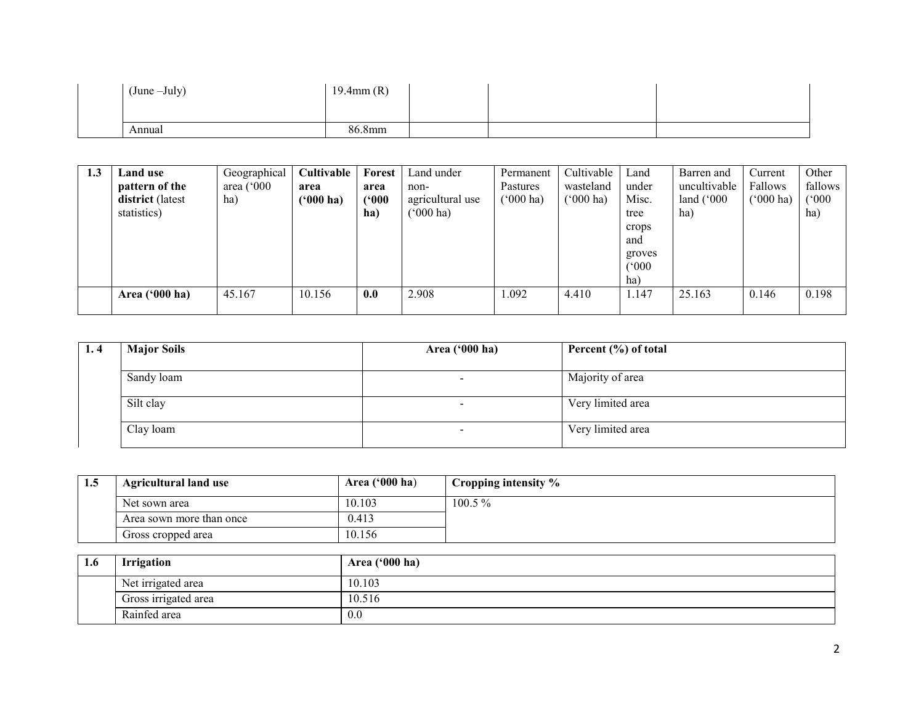| (June -July) | $19.4$ mm $(R)$ |  |  |
|--------------|-----------------|--|--|
|              |                 |  |  |
| Annual       | 86.8mm          |  |  |

| 1.3 | <b>Land use</b><br>pattern of the<br>district (latest<br>statistics) | Geographical<br>area $(^{\circ}000$<br>ha) | Cultivable<br>area<br>$(900)$ ha) | Forest<br>area<br>(900)<br>ha) | Land under<br>non-<br>agricultural use<br>$^{\prime}000$ ha) | Permanent<br>Pastures<br>$(^{o}000 \text{ ha})$ | Cultivable<br>wasteland<br>('000 ha) | Land<br>under<br>Misc.<br>tree<br>crops<br>and<br>groves | Barren and<br>uncultivable<br>land $(^{\circ}000$<br>ha) | Current<br>Fallows<br>$(5000)$ ha) | Other<br>fallows<br>(°000)<br>ha) |
|-----|----------------------------------------------------------------------|--------------------------------------------|-----------------------------------|--------------------------------|--------------------------------------------------------------|-------------------------------------------------|--------------------------------------|----------------------------------------------------------|----------------------------------------------------------|------------------------------------|-----------------------------------|
|     |                                                                      |                                            |                                   |                                |                                                              |                                                 |                                      | (°000)<br>ha)                                            |                                                          |                                    |                                   |
|     | Area ('000 ha)                                                       | 45.167                                     | 10.156                            | 0.0                            | 2.908                                                        | 1.092                                           | 4.410                                | 1.147                                                    | 25.163                                                   | 0.146                              | 0.198                             |

| 1.4 | <b>Major Soils</b> | Area ('000 ha) | Percent $(\% )$ of total |
|-----|--------------------|----------------|--------------------------|
|     | Sandy loam         |                | Majority of area         |
|     | Silt clay          |                | Very limited area        |
|     | Clay loam          |                | Very limited area        |

| 1.5 | <b>Agricultural land use</b> | Area $(900 \text{ ha})$ | Cropping intensity % |
|-----|------------------------------|-------------------------|----------------------|
|     | Net sown area                | 10.103                  | $100.5\%$            |
|     | Area sown more than once     | 0.413                   |                      |
|     | Gross cropped area           | 10.156                  |                      |

| 1.6 | <b>Irrigation</b>    | Area $('000 ha)$ |
|-----|----------------------|------------------|
|     | Net irrigated area   | 10.103           |
|     | Gross irrigated area | 10.516           |
|     | Rainfed area         | 0.0              |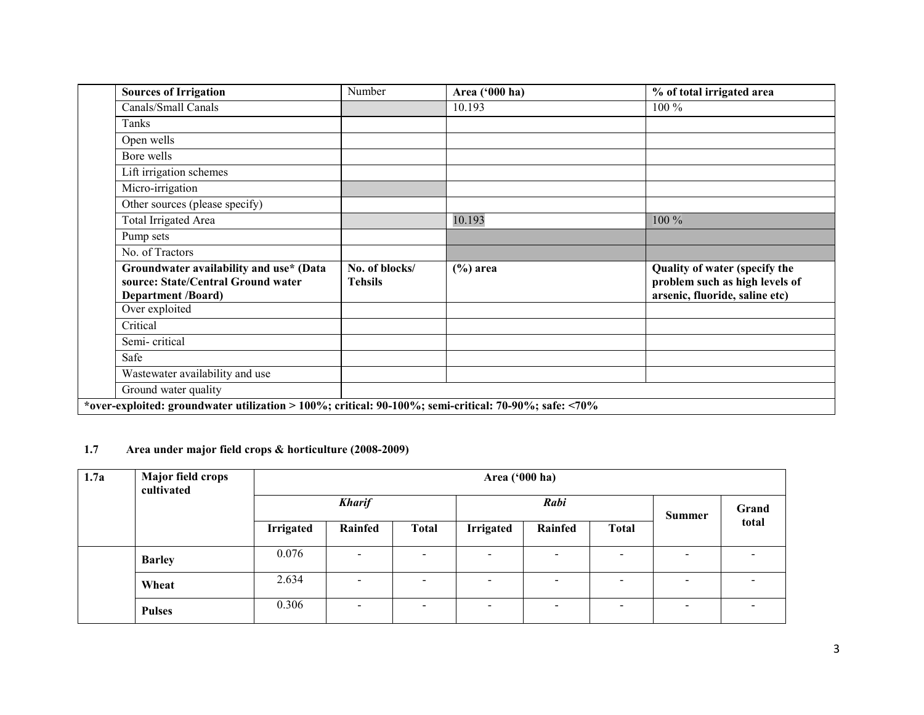| <b>Sources of Irrigation</b>                                                                               | Number                           | Area ('000 ha) | % of total irrigated area                                                                         |  |  |  |
|------------------------------------------------------------------------------------------------------------|----------------------------------|----------------|---------------------------------------------------------------------------------------------------|--|--|--|
| Canals/Small Canals                                                                                        |                                  | 10.193         | 100 %                                                                                             |  |  |  |
| Tanks                                                                                                      |                                  |                |                                                                                                   |  |  |  |
| Open wells                                                                                                 |                                  |                |                                                                                                   |  |  |  |
| Bore wells                                                                                                 |                                  |                |                                                                                                   |  |  |  |
| Lift irrigation schemes                                                                                    |                                  |                |                                                                                                   |  |  |  |
| Micro-irrigation                                                                                           |                                  |                |                                                                                                   |  |  |  |
| Other sources (please specify)                                                                             |                                  |                |                                                                                                   |  |  |  |
| <b>Total Irrigated Area</b>                                                                                |                                  | 10.193         | 100 %                                                                                             |  |  |  |
| Pump sets                                                                                                  |                                  |                |                                                                                                   |  |  |  |
| No. of Tractors                                                                                            |                                  |                |                                                                                                   |  |  |  |
| Groundwater availability and use* (Data<br>source: State/Central Ground water<br><b>Department /Board)</b> | No. of blocks/<br><b>Tehsils</b> | $(\% )$ area   | Quality of water (specify the<br>problem such as high levels of<br>arsenic, fluoride, saline etc) |  |  |  |
| Over exploited                                                                                             |                                  |                |                                                                                                   |  |  |  |
| Critical                                                                                                   |                                  |                |                                                                                                   |  |  |  |
| Semi-critical                                                                                              |                                  |                |                                                                                                   |  |  |  |
| Safe                                                                                                       |                                  |                |                                                                                                   |  |  |  |
| Wastewater availability and use                                                                            |                                  |                |                                                                                                   |  |  |  |
| Ground water quality                                                                                       |                                  |                |                                                                                                   |  |  |  |
| *over-exploited: groundwater utilization > 100%; critical: $90-100\%$ ; semi-critical: 70-90%; safe: <70%  |                                  |                |                                                                                                   |  |  |  |

# 1.7 Area under major field crops & horticulture (2008-2009)

| 1.7a | <b>Major field crops</b><br>cultivated | Area ('000 ha)   |                       |                          |                          |                          |                          |                          |       |  |  |       |
|------|----------------------------------------|------------------|-----------------------|--------------------------|--------------------------|--------------------------|--------------------------|--------------------------|-------|--|--|-------|
|      |                                        |                  | <b>Kharif</b><br>Rabi |                          |                          |                          |                          |                          |       |  |  | Grand |
|      |                                        | <b>Irrigated</b> | <b>Rainfed</b>        | <b>Total</b>             | <b>Irrigated</b>         | Rainfed                  | <b>Total</b>             | <b>Summer</b>            | total |  |  |       |
|      | <b>Barley</b>                          | 0.076            |                       | $\,$                     | $\overline{\phantom{a}}$ | $\,$ $\,$                | $\overline{\phantom{a}}$ | $\overline{\phantom{a}}$ |       |  |  |       |
|      | Wheat                                  | 2.634            |                       | $\overline{\phantom{0}}$ | $\overline{\phantom{a}}$ | $\,$ $\,$                | $\blacksquare$           | $\overline{\phantom{a}}$ |       |  |  |       |
|      | <b>Pulses</b>                          | 0.306            | $\sim$                | $\overline{\phantom{a}}$ | $\overline{\phantom{0}}$ | $\overline{\phantom{a}}$ | $\overline{\phantom{0}}$ | $\overline{\phantom{a}}$ |       |  |  |       |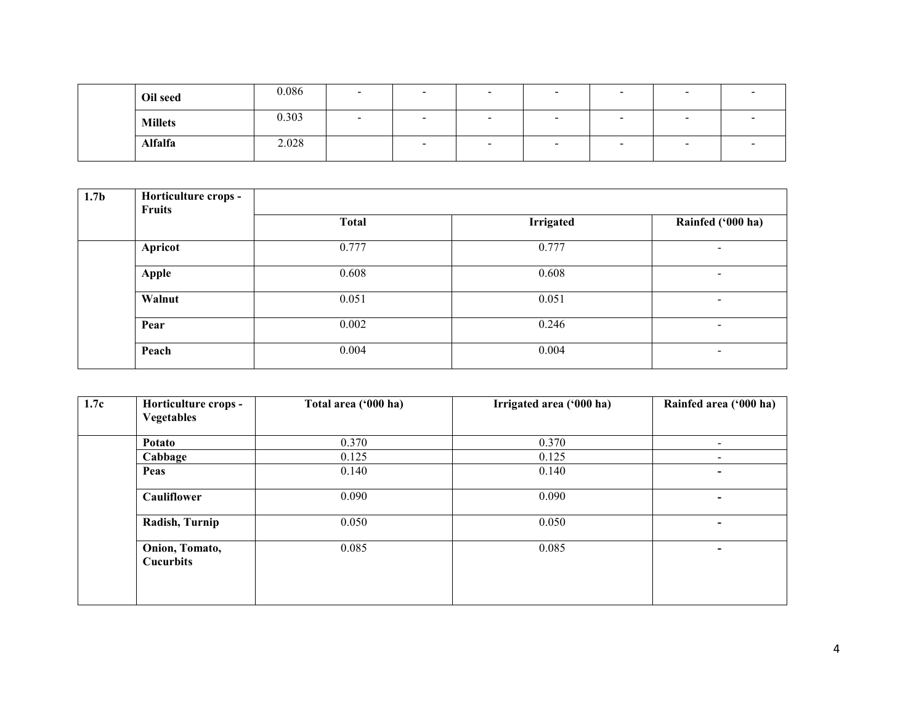| Oil seed       | 0.086 | $\overline{\phantom{0}}$ | $\overline{\phantom{a}}$ | $\overline{\phantom{0}}$ | $\overline{\phantom{a}}$ | $\overline{\phantom{0}}$ | $\overline{\phantom{0}}$ |  |
|----------------|-------|--------------------------|--------------------------|--------------------------|--------------------------|--------------------------|--------------------------|--|
| <b>Millets</b> | 0.303 |                          | $\overline{\phantom{a}}$ | -                        | $\overline{\phantom{0}}$ | -                        | $\sim$                   |  |
| <b>Alfalfa</b> | 2.028 |                          | $\overline{\phantom{a}}$ | $\overline{\phantom{a}}$ | $\sim$                   | $\overline{\phantom{0}}$ | $\overline{\phantom{0}}$ |  |

| 1.7 <sub>b</sub> | Horticulture crops -<br><b>Fruits</b> |              |                  |                          |
|------------------|---------------------------------------|--------------|------------------|--------------------------|
|                  |                                       | <b>Total</b> | <b>Irrigated</b> | Rainfed ('000 ha)        |
|                  | Apricot                               | 0.777        | 0.777            | $\overline{\phantom{a}}$ |
|                  | <b>Apple</b>                          | 0.608        | 0.608            | $\overline{\phantom{a}}$ |
|                  | Walnut                                | 0.051        | 0.051            | $\blacksquare$           |
|                  | Pear                                  | 0.002        | 0.246            | $\,$                     |
|                  | Peach                                 | 0.004        | 0.004            | $\overline{\phantom{0}}$ |

| 1.7c | Horticulture crops -<br><b>Vegetables</b> | Total area ('000 ha) | Irrigated area ('000 ha) | Rainfed area ('000 ha)   |
|------|-------------------------------------------|----------------------|--------------------------|--------------------------|
|      | Potato                                    | 0.370                | 0.370                    | $\overline{\phantom{a}}$ |
|      | Cabbage                                   | 0.125                | 0.125                    | $\overline{\phantom{a}}$ |
|      | Peas                                      | 0.140                | 0.140                    | $\,$                     |
|      | <b>Cauliflower</b>                        | 0.090                | 0.090                    | $\,$                     |
|      | Radish, Turnip                            | 0.050                | 0.050                    | $\overline{\phantom{0}}$ |
|      | Onion, Tomato,<br><b>Cucurbits</b>        | 0.085                | 0.085                    | ٠                        |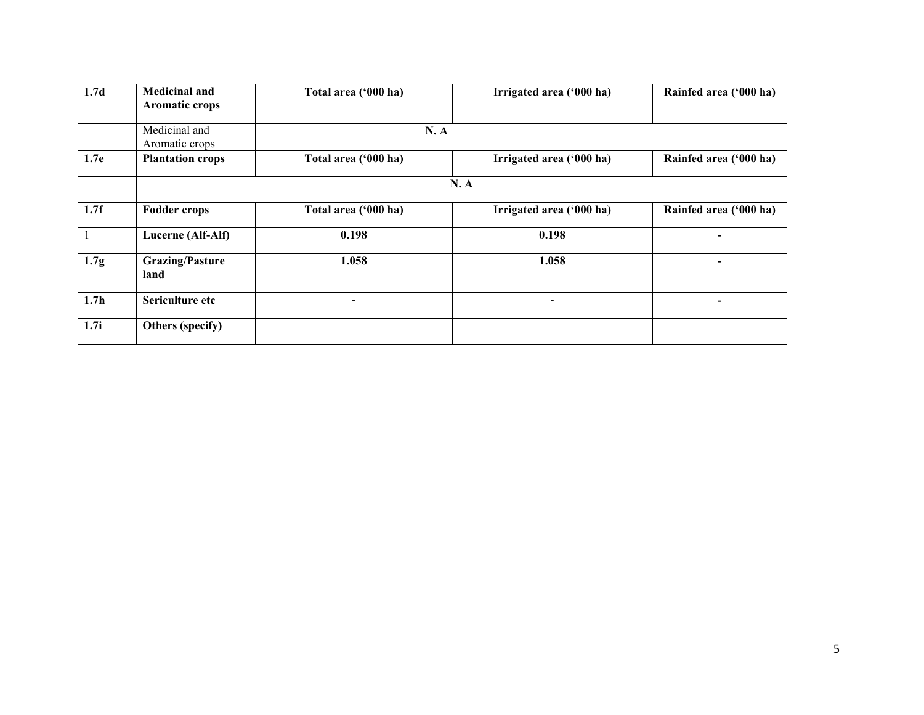| 1.7 <sub>d</sub> | <b>Medicinal and</b><br><b>Aromatic crops</b> | Total area ('000 ha)     | Irrigated area ('000 ha) | Rainfed area ('000 ha) |
|------------------|-----------------------------------------------|--------------------------|--------------------------|------------------------|
|                  | Medicinal and<br>Aromatic crops               | N.A                      |                          |                        |
| 1.7e             | <b>Plantation crops</b>                       | Total area ('000 ha)     | Irrigated area ('000 ha) | Rainfed area ('000 ha) |
|                  |                                               |                          | N.A                      |                        |
| 1.7f             | <b>Fodder crops</b>                           | Total area ('000 ha)     | Irrigated area ('000 ha) | Rainfed area ('000 ha) |
|                  | Lucerne (Alf-Alf)                             | 0.198                    | 0.198                    |                        |
| 1.7 <sub>g</sub> | <b>Grazing/Pasture</b><br>land                | 1.058                    | 1.058                    |                        |
| 1.7 <sub>h</sub> | Sericulture etc                               | $\overline{\phantom{a}}$ | $\overline{\phantom{a}}$ | $\,$                   |
| 1.7i             | Others (specify)                              |                          |                          |                        |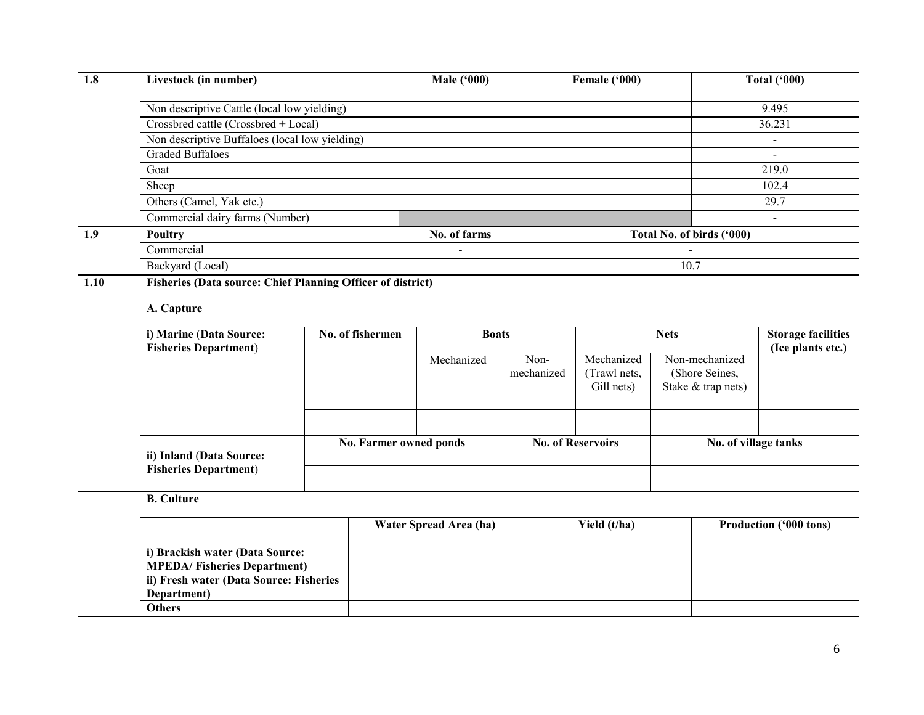| $\overline{1.8}$ | Livestock (in number)                                                 |  |                                  | <b>Male ('000)</b>            |                    | Female ('000)                            |      |                                                        | <b>Total ('000)</b>                            |
|------------------|-----------------------------------------------------------------------|--|----------------------------------|-------------------------------|--------------------|------------------------------------------|------|--------------------------------------------------------|------------------------------------------------|
|                  | Non descriptive Cattle (local low yielding)                           |  |                                  |                               |                    |                                          |      |                                                        | 9.495                                          |
|                  | Crossbred cattle (Crossbred + Local)                                  |  |                                  |                               |                    |                                          |      |                                                        | 36.231                                         |
|                  | Non descriptive Buffaloes (local low yielding)                        |  |                                  |                               |                    |                                          |      |                                                        | $\blacksquare$                                 |
|                  | <b>Graded Buffaloes</b>                                               |  |                                  |                               |                    |                                          |      |                                                        | $\overline{a}$                                 |
|                  | Goat                                                                  |  |                                  |                               |                    |                                          |      |                                                        | 219.0                                          |
|                  | Sheep                                                                 |  |                                  |                               |                    |                                          |      |                                                        | 102.4                                          |
|                  | Others (Camel, Yak etc.)                                              |  |                                  |                               |                    |                                          |      |                                                        | 29.7                                           |
|                  | Commercial dairy farms (Number)                                       |  |                                  |                               |                    |                                          |      |                                                        | $\blacksquare$                                 |
| 1.9              | <b>Poultry</b>                                                        |  |                                  | No. of farms                  |                    |                                          |      | Total No. of birds ('000)                              |                                                |
|                  | Commercial                                                            |  |                                  |                               |                    |                                          |      |                                                        |                                                |
|                  | Backyard (Local)                                                      |  |                                  |                               |                    |                                          | 10.7 |                                                        |                                                |
| 1.10             | <b>Fisheries (Data source: Chief Planning Officer of district)</b>    |  |                                  |                               |                    |                                          |      |                                                        |                                                |
|                  |                                                                       |  |                                  |                               |                    |                                          |      |                                                        |                                                |
|                  | A. Capture                                                            |  |                                  |                               |                    |                                          |      |                                                        |                                                |
|                  | i) Marine (Data Source:<br><b>Fisheries Department)</b>               |  | No. of fishermen<br><b>Boats</b> |                               |                    | <b>Nets</b>                              |      |                                                        | <b>Storage facilities</b><br>(Ice plants etc.) |
|                  |                                                                       |  |                                  | Mechanized                    | Non-<br>mechanized | Mechanized<br>(Trawl nets,<br>Gill nets) |      | Non-mechanized<br>(Shore Seines,<br>Stake & trap nets) |                                                |
|                  | ii) Inland (Data Source:<br><b>Fisheries Department)</b>              |  |                                  | <b>No. Farmer owned ponds</b> |                    | <b>No. of Reservoirs</b>                 |      | No. of village tanks                                   |                                                |
|                  | <b>B.</b> Culture                                                     |  |                                  |                               |                    |                                          |      |                                                        |                                                |
|                  |                                                                       |  |                                  | Water Spread Area (ha)        |                    | Yield (t/ha)                             |      |                                                        | Production ('000 tons)                         |
|                  | i) Brackish water (Data Source:<br><b>MPEDA/Fisheries Department)</b> |  |                                  |                               |                    |                                          |      |                                                        |                                                |
|                  | ii) Fresh water (Data Source: Fisheries<br>Department)                |  |                                  |                               |                    |                                          |      |                                                        |                                                |
|                  | <b>Others</b>                                                         |  |                                  |                               |                    |                                          |      |                                                        |                                                |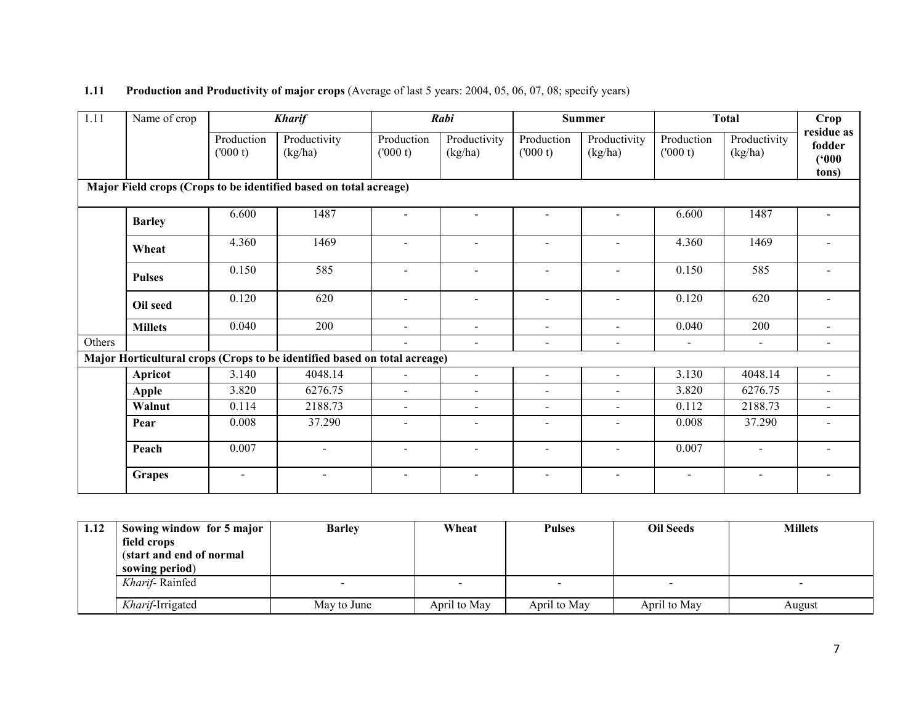# **1.11** Production and Productivity of major crops (Average of last 5 years: 2004, 05, 06, 07, 08; specify years)

| 1.11                                                              | Name of crop   |                       | <b>Kharif</b>                                                             |                          | Rabi                     |                          | <b>Summer</b>            | <b>Total</b>          |                         | Crop                                   |
|-------------------------------------------------------------------|----------------|-----------------------|---------------------------------------------------------------------------|--------------------------|--------------------------|--------------------------|--------------------------|-----------------------|-------------------------|----------------------------------------|
|                                                                   |                | Production<br>(000 t) | Productivity<br>(kg/ha)                                                   | Production<br>(000 t)    | Productivity<br>(kg/ha)  | Production<br>(000 t)    | Productivity<br>(kg/ha)  | Production<br>(000 t) | Productivity<br>(kg/ha) | residue as<br>fodder<br>(500)<br>tons) |
| Major Field crops (Crops to be identified based on total acreage) |                |                       |                                                                           |                          |                          |                          |                          |                       |                         |                                        |
|                                                                   | <b>Barley</b>  | 6.600                 | 1487                                                                      | $\overline{\phantom{a}}$ | $\overline{\phantom{a}}$ | $\overline{\phantom{a}}$ | $\blacksquare$           | 6.600                 | 1487                    | $\blacksquare$                         |
|                                                                   | Wheat          | 4.360                 | 1469                                                                      | $\sim$                   |                          | $\sim$                   | $\sim$                   | 4.360                 | 1469                    |                                        |
|                                                                   | <b>Pulses</b>  | 0.150                 | 585                                                                       | $\blacksquare$           | $\overline{\phantom{a}}$ | $\blacksquare$           | $\blacksquare$           | 0.150                 | 585                     |                                        |
|                                                                   | Oil seed       | 0.120                 | 620                                                                       | $\sim$                   | $\blacksquare$           | $\sim$                   | $\sim$                   | 0.120                 | 620                     | $\sim$                                 |
|                                                                   | <b>Millets</b> | 0.040                 | 200                                                                       | $\mathbf{r}$             | -                        | $\blacksquare$           | $\blacksquare$           | 0.040                 | 200                     |                                        |
| Others                                                            |                |                       |                                                                           | $\sim$                   | $\blacksquare$           | $\blacksquare$           | $\blacksquare$           | $\sim$                | $\blacksquare$          | $\overline{\phantom{a}}$               |
|                                                                   |                |                       | Major Horticultural crops (Crops to be identified based on total acreage) |                          |                          |                          |                          |                       |                         |                                        |
|                                                                   | Apricot        | 3.140                 | 4048.14                                                                   | $\sim$                   | $\blacksquare$           | $\blacksquare$           | $\blacksquare$           | 3.130                 | 4048.14                 | $\overline{a}$                         |
|                                                                   | <b>Apple</b>   | 3.820                 | 6276.75                                                                   | $\sim$                   | $\overline{\phantom{a}}$ | $\blacksquare$           | $\blacksquare$           | 3.820                 | 6276.75                 | $\blacksquare$                         |
|                                                                   | Walnut         | 0.114                 | 2188.73                                                                   | $\blacksquare$           | -                        | $\blacksquare$           | $\blacksquare$           | 0.112                 | 2188.73                 | $\blacksquare$                         |
|                                                                   | Pear           | 0.008                 | 37.290                                                                    | $\sim$                   | -                        | $\overline{\phantom{a}}$ | $\blacksquare$           | 0.008                 | 37.290                  | $\overline{\phantom{a}}$               |
|                                                                   | Peach          | 0.007                 | $\blacksquare$                                                            | $\blacksquare$           | -                        | $\blacksquare$           | $\overline{\phantom{a}}$ | 0.007                 | $\blacksquare$          | $\overline{\phantom{a}}$               |
|                                                                   | <b>Grapes</b>  | $\sim$                | $\blacksquare$                                                            | $\sim$                   | $\overline{\phantom{a}}$ | $\blacksquare$           | $\blacksquare$           | $\sim$                | $\sim$                  | $\blacksquare$                         |

| 1.12 | Sowing window for 5 major | <b>Barley</b> | Wheat        | <b>Pulses</b> | <b>Oil Seeds</b> | <b>Millets</b> |
|------|---------------------------|---------------|--------------|---------------|------------------|----------------|
|      | field crops               |               |              |               |                  |                |
|      | (start and end of normal  |               |              |               |                  |                |
|      | sowing period)            |               |              |               |                  |                |
|      | Kharif-Rainfed            |               |              |               |                  |                |
|      |                           |               |              |               |                  |                |
|      | <i>Kharif</i> -Irrigated  | May to June   | April to May | April to May  | April to May     | August         |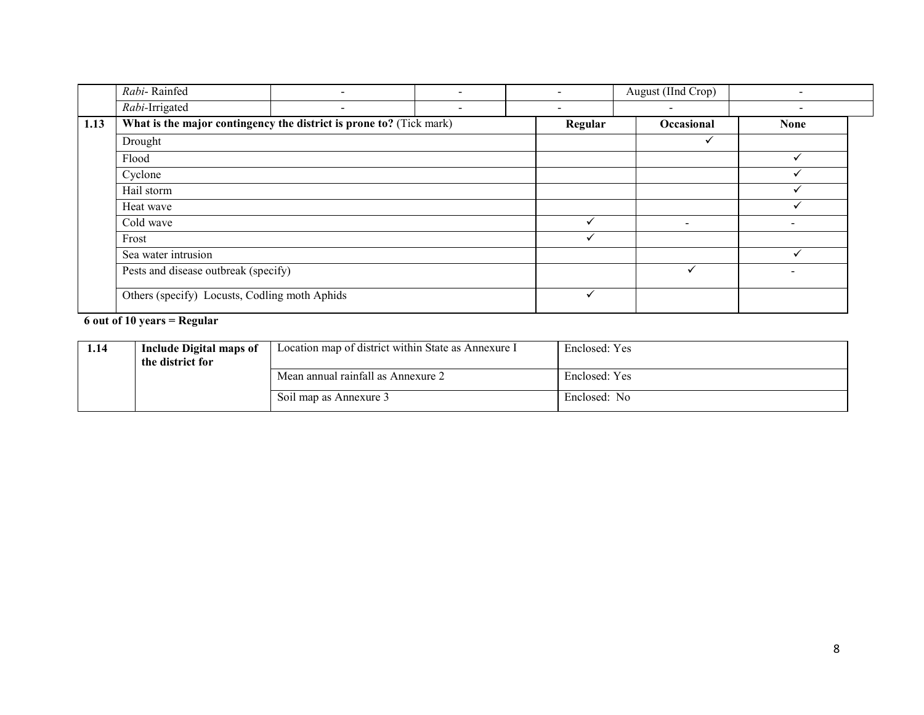|      | Rabi-Rainfed                                                        |                          |                          |         | August (IInd Crop)       |             |
|------|---------------------------------------------------------------------|--------------------------|--------------------------|---------|--------------------------|-------------|
|      | Rabi-Irrigated                                                      | $\overline{\phantom{a}}$ | $\overline{\phantom{a}}$ | $\,$    | $\overline{\phantom{a}}$ |             |
| 1.13 | What is the major contingency the district is prone to? (Tick mark) |                          |                          | Regular | Occasional               | <b>None</b> |
|      | Drought                                                             |                          |                          |         | ✓                        |             |
|      | Flood                                                               |                          |                          |         |                          |             |
|      | Cyclone                                                             |                          |                          |         |                          |             |
|      | Hail storm                                                          |                          |                          |         |                          |             |
|      | Heat wave                                                           |                          |                          |         |                          |             |
|      | Cold wave                                                           |                          |                          |         | $\overline{\phantom{0}}$ |             |
|      | Frost                                                               |                          |                          |         |                          |             |
|      | Sea water intrusion                                                 |                          |                          |         |                          |             |
|      | Pests and disease outbreak (specify)                                |                          |                          | ✓       |                          |             |
|      | Others (specify) Locusts, Codling moth Aphids                       |                          |                          | ✓       |                          |             |

# 6 out of 10 years = Regular

| 1.14 | <b>Include Digital maps of</b><br>the district for | Location map of district within State as Annexure I | Enclosed: Yes |
|------|----------------------------------------------------|-----------------------------------------------------|---------------|
|      |                                                    | Mean annual rainfall as Annexure 2                  | Enclosed: Yes |
|      |                                                    | Soil map as Annexure 3                              | Enclosed: No  |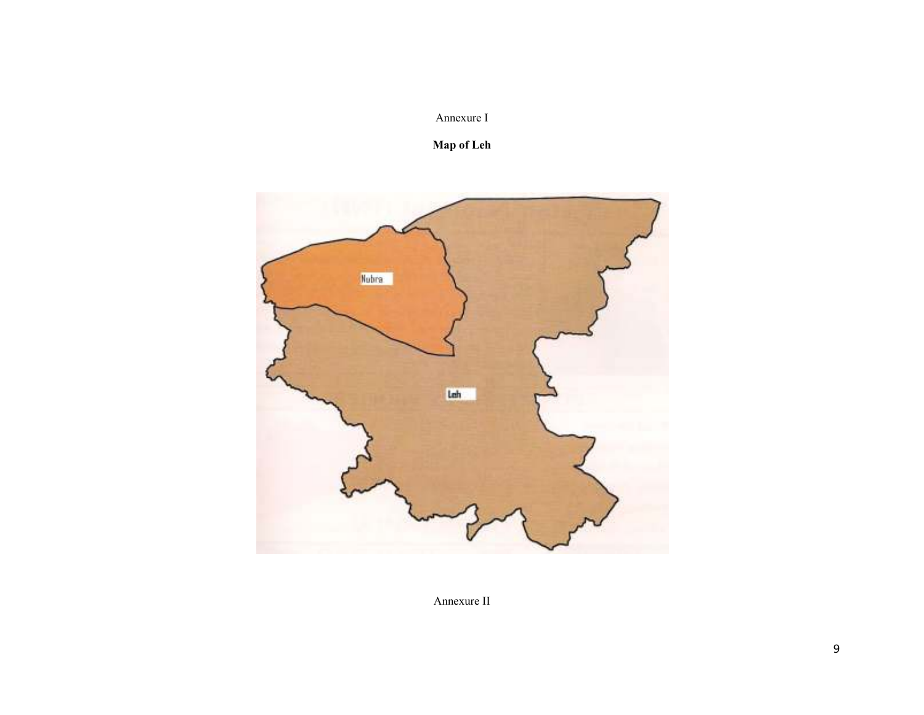# Annexure I

### Map of Leh



Annexure II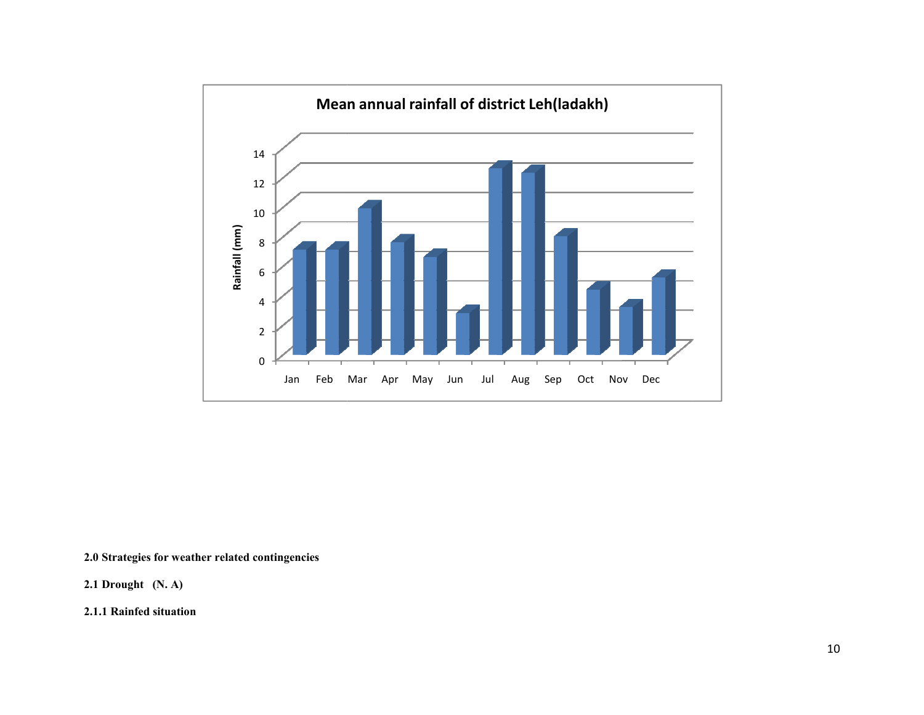

2.0 Strategies for weather related contingencies

2.1 Drought (N. A)

2.1.1 Rainfed situation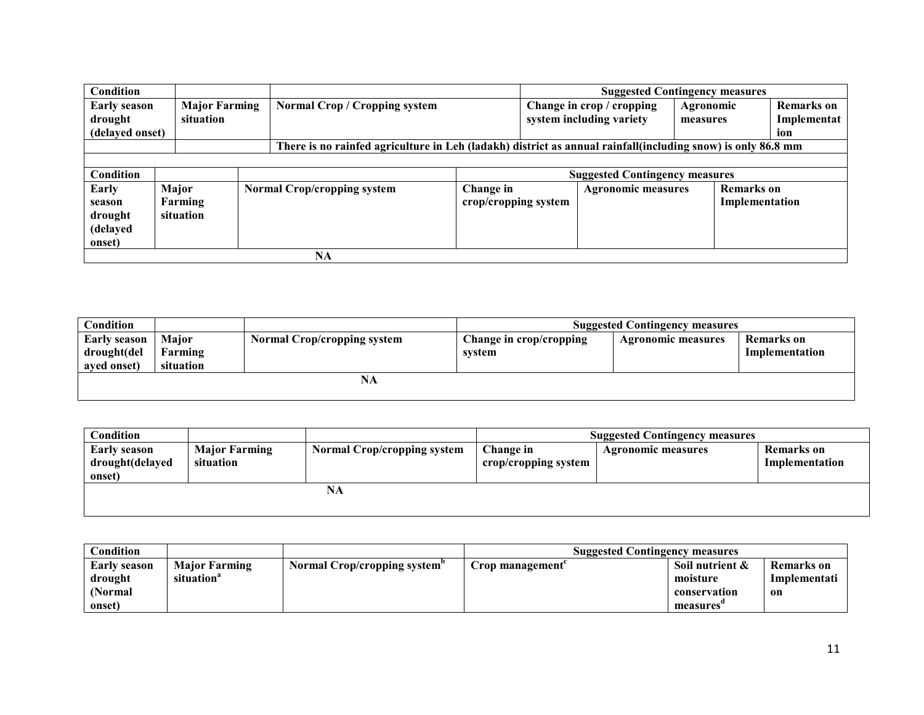| Condition                                         |                                   |  |                                                                                                             |                                                                                                       |  | <b>Suggested Contingency measures</b>                 |                       |  |                                         |
|---------------------------------------------------|-----------------------------------|--|-------------------------------------------------------------------------------------------------------------|-------------------------------------------------------------------------------------------------------|--|-------------------------------------------------------|-----------------------|--|-----------------------------------------|
| <b>Early season</b><br>drought<br>(delayed onset) | <b>Major Farming</b><br>situation |  | <b>Normal Crop / Cropping system</b>                                                                        |                                                                                                       |  | Change in crop / cropping<br>system including variety | Agronomic<br>measures |  | <b>Remarks</b> on<br>Implementat<br>ion |
|                                                   |                                   |  | There is no rainfed agriculture in Leh (ladakh) district as annual rainfall(including snow) is only 86.8 mm |                                                                                                       |  |                                                       |                       |  |                                         |
|                                                   |                                   |  |                                                                                                             |                                                                                                       |  |                                                       |                       |  |                                         |
| Condition                                         |                                   |  |                                                                                                             |                                                                                                       |  | <b>Suggested Contingency measures</b>                 |                       |  |                                         |
| Early<br>season<br>drought<br>(delayed<br>onset)  | Major<br>Farming<br>situation     |  | <b>Normal Crop/cropping system</b>                                                                          | <b>Remarks</b> on<br>Change in<br><b>Agronomic measures</b><br>crop/cropping system<br>Implementation |  |                                                       |                       |  |                                         |
|                                                   |                                   |  | <b>NA</b>                                                                                                   |                                                                                                       |  |                                                       |                       |  |                                         |

| Condition    |              |                                    | <b>Suggested Contingency measures</b> |                           |                   |  |
|--------------|--------------|------------------------------------|---------------------------------------|---------------------------|-------------------|--|
| Early season | <b>Maior</b> | <b>Normal Crop/cropping system</b> | Change in crop/cropping               | <b>Agronomic measures</b> | <b>Remarks</b> on |  |
| drought(del  | Farming      |                                    | svstem                                |                           | Implementation    |  |
| aved onset)  | situation    |                                    |                                       |                           |                   |  |
|              |              | NA                                 |                                       |                           |                   |  |
|              |              |                                    |                                       |                           |                   |  |

| $\cap$ ondition |                      |                                    |                      | <b>Suggested Contingency measures</b> |                |
|-----------------|----------------------|------------------------------------|----------------------|---------------------------------------|----------------|
| Early season    | <b>Major Farming</b> | <b>Normal Crop/cropping system</b> | Change in            | <b>Agronomic measures</b>             | Remarks on     |
| drought(delayed | situation            |                                    | crop/cropping system |                                       | Implementation |
| onset)          |                      |                                    |                      |                                       |                |
|                 |                      | NA                                 |                      |                                       |                |
|                 |                      |                                    |                      |                                       |                |
|                 |                      |                                    |                      |                                       |                |

| $\cap$ ondition |                        |                              | <b>Suggested Contingency measures</b> |                 |              |  |
|-----------------|------------------------|------------------------------|---------------------------------------|-----------------|--------------|--|
| Early season    | <b>Major Farming</b>   | Normal Crop/cropping system" | Crop management                       | Soil nutrient & | Remarks on   |  |
| drought         | situation <sup>a</sup> |                              |                                       | moisture        | Implementati |  |
| (Normal         |                        |                              |                                       | conservation    | on           |  |
| onset)          |                        |                              |                                       | measures        |              |  |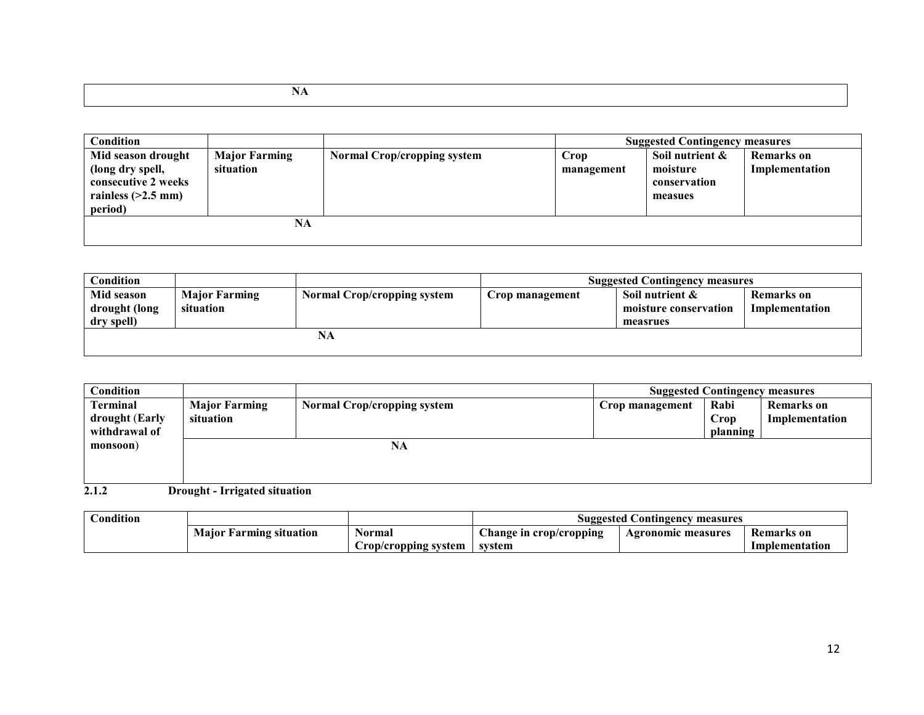| Condition                                                                                        |                                   |                                    |                    | <b>Suggested Contingency measures</b>                  |                              |
|--------------------------------------------------------------------------------------------------|-----------------------------------|------------------------------------|--------------------|--------------------------------------------------------|------------------------------|
| Mid season drought<br>(long dry spell,<br>consecutive 2 weeks<br>rainless $(>2.5$ mm)<br>period) | <b>Major Farming</b><br>situation | <b>Normal Crop/cropping system</b> | Crop<br>management | Soil nutrient &<br>moisture<br>conservation<br>measues | Remarks on<br>Implementation |
|                                                                                                  | NA                                |                                    |                    |                                                        |                              |

| Condition     |                      |                                    |                 | <b>Suggested Contingency measures</b> |                   |
|---------------|----------------------|------------------------------------|-----------------|---------------------------------------|-------------------|
| Mid season    | <b>Major Farming</b> | <b>Normal Crop/cropping system</b> | Crop management | Soil nutrient $\&$                    | <b>Remarks</b> on |
| drought (long | situation            |                                    |                 | moisture conservation                 | Implementation    |
| dry spell)    |                      |                                    |                 | measrues                              |                   |
|               |                      | NA                                 |                 |                                       |                   |
|               |                      |                                    |                 |                                       |                   |

| Condition                                     |                      |                                    |                 | <b>Suggested Contingency measures</b> |                   |  |
|-----------------------------------------------|----------------------|------------------------------------|-----------------|---------------------------------------|-------------------|--|
| Terminal                                      | <b>Major Farming</b> | <b>Normal Crop/cropping system</b> | Crop management | Rabi                                  | <b>Remarks</b> on |  |
| drought (Early                                | situation            |                                    |                 | Crop                                  | Implementation    |  |
| withdrawal of                                 |                      |                                    |                 | planning                              |                   |  |
| monsoon)                                      |                      | NA                                 |                 |                                       |                   |  |
|                                               |                      |                                    |                 |                                       |                   |  |
|                                               |                      |                                    |                 |                                       |                   |  |
| 2.1.2<br><b>Drought - Irrigated situation</b> |                      |                                    |                 |                                       |                   |  |

|                                   |                       | Suggested Contingency<br>measures |                    |                |
|-----------------------------------|-----------------------|-----------------------------------|--------------------|----------------|
| <b>Farming situation</b><br>Maior | Normal                | hange in crop/cropping            | Agronomic measures | Remarks on     |
|                                   | Crop/cropping system_ | svstem                            |                    | Implementation |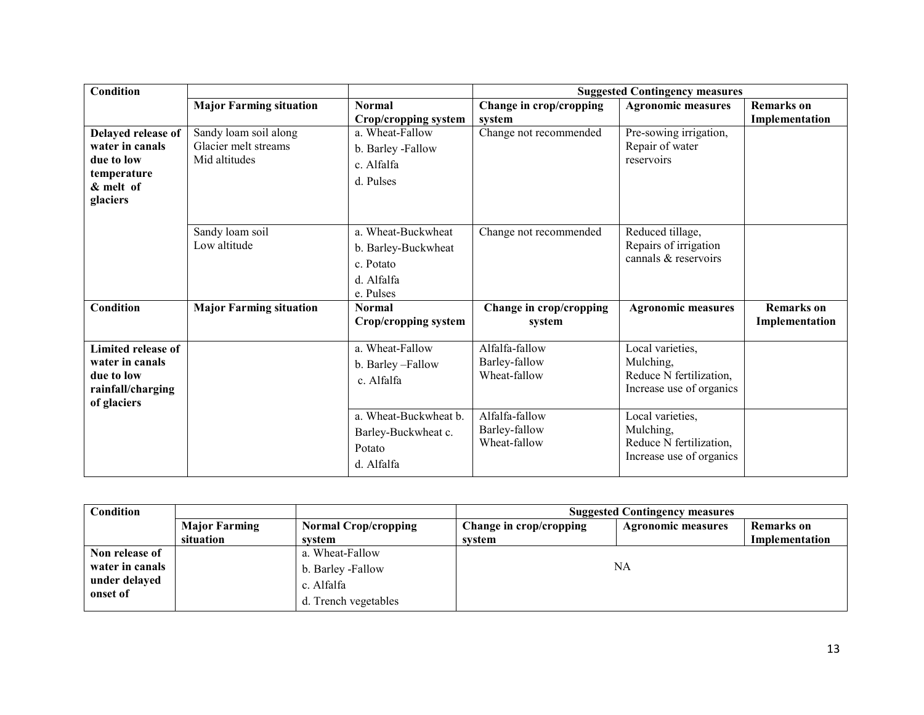| <b>Condition</b>          |                                |                         |                               | <b>Suggested Contingency measures</b>               |                   |
|---------------------------|--------------------------------|-------------------------|-------------------------------|-----------------------------------------------------|-------------------|
|                           | <b>Major Farming situation</b> | <b>Normal</b>           | Change in crop/cropping       | <b>Agronomic measures</b>                           | <b>Remarks</b> on |
|                           |                                | Crop/cropping system    | system                        |                                                     | Implementation    |
| Delayed release of        | Sandy loam soil along          | a. Wheat-Fallow         | Change not recommended        | Pre-sowing irrigation,                              |                   |
| water in canals           | Glacier melt streams           | b. Barley -Fallow       |                               | Repair of water                                     |                   |
| due to low                | Mid altitudes                  | c. Alfalfa              |                               | reservoirs                                          |                   |
| temperature<br>& melt of  |                                | d. Pulses               |                               |                                                     |                   |
| glaciers                  |                                |                         |                               |                                                     |                   |
|                           |                                |                         |                               |                                                     |                   |
|                           | Sandy loam soil                | a. Wheat-Buckwheat      | Change not recommended        | Reduced tillage,                                    |                   |
|                           | Low altitude                   | b. Barley-Buckwheat     |                               | Repairs of irrigation                               |                   |
|                           |                                | c. Potato               |                               | cannals & reservoirs                                |                   |
|                           |                                |                         |                               |                                                     |                   |
|                           |                                | d. Alfalfa<br>e. Pulses |                               |                                                     |                   |
| Condition                 | <b>Major Farming situation</b> | <b>Normal</b>           | Change in crop/cropping       | <b>Agronomic measures</b>                           | <b>Remarks</b> on |
|                           |                                | Crop/cropping system    | system                        |                                                     | Implementation    |
|                           |                                |                         |                               |                                                     |                   |
| <b>Limited release of</b> |                                | a. Wheat-Fallow         | Alfalfa-fallow                | Local varieties,                                    |                   |
| water in canals           |                                | b. Barley-Fallow        | Barley-fallow                 | Mulching,                                           |                   |
| due to low                |                                | c. Alfalfa              | Wheat-fallow                  | Reduce N fertilization,                             |                   |
| rainfall/charging         |                                |                         |                               | Increase use of organics                            |                   |
| of glaciers               |                                |                         |                               |                                                     |                   |
|                           |                                | a. Wheat-Buckwheat b.   | Alfalfa-fallow                | Local varieties,                                    |                   |
|                           |                                | Barley-Buckwheat c.     | Barley-fallow<br>Wheat-fallow | Mulching,                                           |                   |
|                           |                                | Potato                  |                               | Reduce N fertilization,<br>Increase use of organics |                   |
|                           |                                | d. Alfalfa              |                               |                                                     |                   |

| Condition                 |                      |                             | <b>Suggested Contingency measures</b> |                           |                |  |  |
|---------------------------|----------------------|-----------------------------|---------------------------------------|---------------------------|----------------|--|--|
|                           | <b>Major Farming</b> | <b>Normal Crop/cropping</b> | Change in crop/cropping               | <b>Agronomic measures</b> | Remarks on     |  |  |
|                           | situation            | system                      | system                                |                           | Implementation |  |  |
| Non release of            |                      | a. Wheat-Fallow             |                                       |                           |                |  |  |
| water in canals           |                      | b. Barley -Fallow           |                                       | NA                        |                |  |  |
| under delayed<br>onset of |                      | c. Alfalfa                  |                                       |                           |                |  |  |
|                           |                      | d. Trench vegetables        |                                       |                           |                |  |  |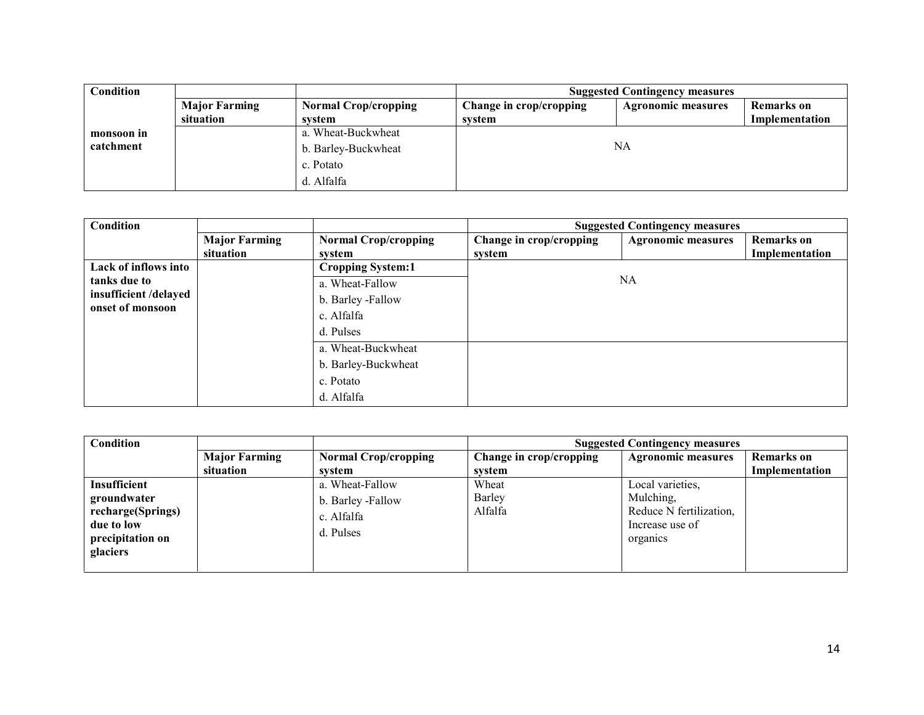| Condition  |                      |                             | <b>Suggested Contingency measures</b> |                           |                |  |
|------------|----------------------|-----------------------------|---------------------------------------|---------------------------|----------------|--|
|            | <b>Major Farming</b> | <b>Normal Crop/cropping</b> | Change in crop/cropping               | <b>Agronomic measures</b> | Remarks on     |  |
|            | situation            | system                      | system                                |                           | Implementation |  |
| monsoon in |                      | a. Wheat-Buckwheat          |                                       |                           |                |  |
| catchment  |                      | b. Barley-Buckwheat         | NA                                    |                           |                |  |
|            |                      | c. Potato                   |                                       |                           |                |  |
|            |                      | d. Alfalfa                  |                                       |                           |                |  |

| Condition                                 |                      |                             |                         | <b>Suggested Contingency measures</b> |                   |
|-------------------------------------------|----------------------|-----------------------------|-------------------------|---------------------------------------|-------------------|
|                                           | <b>Major Farming</b> | <b>Normal Crop/cropping</b> | Change in crop/cropping | <b>Agronomic measures</b>             | <b>Remarks</b> on |
|                                           | situation            | system                      | system                  |                                       | Implementation    |
| Lack of inflows into                      |                      | <b>Cropping System:1</b>    |                         |                                       |                   |
| tanks due to<br>a. Wheat-Fallow           |                      |                             | NA                      |                                       |                   |
| insufficient /delayed<br>onset of monsoon |                      | b. Barley -Fallow           |                         |                                       |                   |
|                                           |                      | c. Alfalfa                  |                         |                                       |                   |
|                                           |                      | d. Pulses                   |                         |                                       |                   |
|                                           |                      | a. Wheat-Buckwheat          |                         |                                       |                   |
|                                           |                      | b. Barley-Buckwheat         |                         |                                       |                   |
|                                           |                      | c. Potato                   |                         |                                       |                   |
|                                           |                      | d. Alfalfa                  |                         |                                       |                   |

| Condition                                                                                      |                      |                                                                 | <b>Suggested Contingency measures</b> |                                                                                         |                   |
|------------------------------------------------------------------------------------------------|----------------------|-----------------------------------------------------------------|---------------------------------------|-----------------------------------------------------------------------------------------|-------------------|
|                                                                                                | <b>Major Farming</b> | <b>Normal Crop/cropping</b>                                     | Change in crop/cropping               | <b>Agronomic measures</b>                                                               | <b>Remarks</b> on |
|                                                                                                | situation            | system                                                          | system                                |                                                                                         | Implementation    |
| Insufficient<br>groundwater<br>recharge(Springs)<br>due to low<br>precipitation on<br>glaciers |                      | a. Wheat-Fallow<br>b. Barley -Fallow<br>c. Alfalfa<br>d. Pulses | Wheat<br>Barley<br>Alfalfa            | Local varieties,<br>Mulching,<br>Reduce N fertilization,<br>Increase use of<br>organics |                   |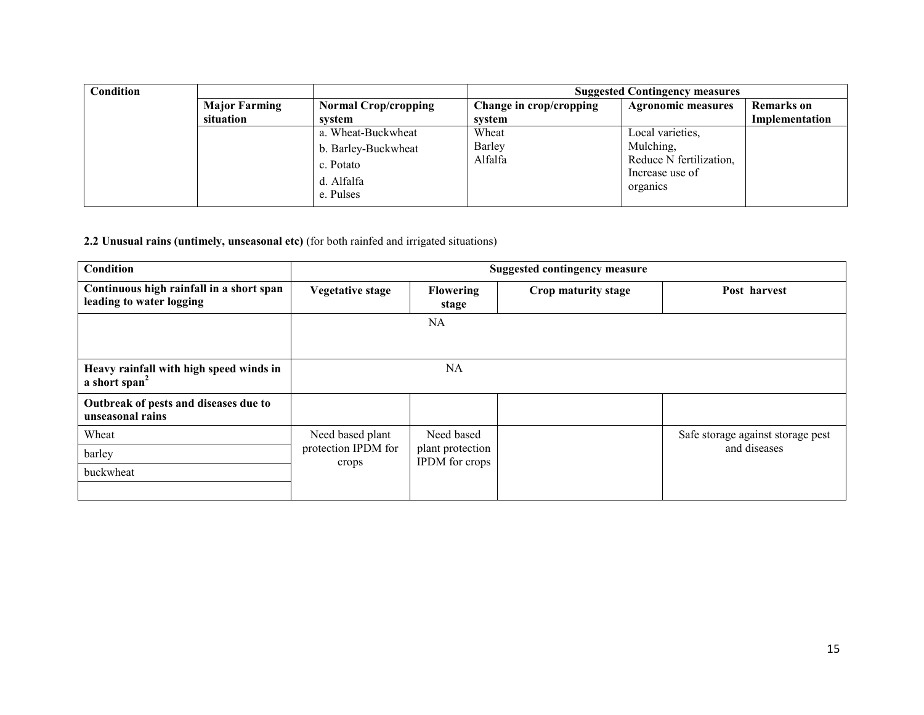| Condition |                      |                                      | <b>Suggested Contingency measures</b> |                                                        |                   |  |
|-----------|----------------------|--------------------------------------|---------------------------------------|--------------------------------------------------------|-------------------|--|
|           | <b>Major Farming</b> | <b>Normal Crop/cropping</b>          | Change in crop/cropping               | <b>Agronomic measures</b>                              | <b>Remarks</b> on |  |
|           | situation            | system                               | system                                |                                                        | Implementation    |  |
|           |                      | a. Wheat-Buckwheat                   | Wheat                                 | Local varieties,                                       |                   |  |
|           |                      | b. Barley-Buckwheat                  | Barley                                | Mulching,                                              |                   |  |
|           |                      | c. Potato<br>d. Alfalfa<br>e. Pulses | Alfalfa                               | Reduce N fertilization,<br>Increase use of<br>organics |                   |  |

2.2 Unusual rains (untimely, unseasonal etc) (for both rainfed and irrigated situations)

| Condition                                                            |                              |                                           | <b>Suggested contingency measure</b> |                                   |
|----------------------------------------------------------------------|------------------------------|-------------------------------------------|--------------------------------------|-----------------------------------|
| Continuous high rainfall in a short span<br>leading to water logging | <b>Vegetative stage</b>      | <b>Flowering</b><br>stage                 | Crop maturity stage                  | Post harvest                      |
|                                                                      |                              | NA                                        |                                      |                                   |
|                                                                      |                              |                                           |                                      |                                   |
| Heavy rainfall with high speed winds in<br>a short span <sup>2</sup> |                              | NA                                        |                                      |                                   |
| Outbreak of pests and diseases due to<br>unseasonal rains            |                              |                                           |                                      |                                   |
| Wheat                                                                | Need based plant             | Need based                                |                                      | Safe storage against storage pest |
| barley                                                               | protection IPDM for<br>crops | plant protection<br><b>IPDM</b> for crops |                                      | and diseases                      |
| buckwheat                                                            |                              |                                           |                                      |                                   |
|                                                                      |                              |                                           |                                      |                                   |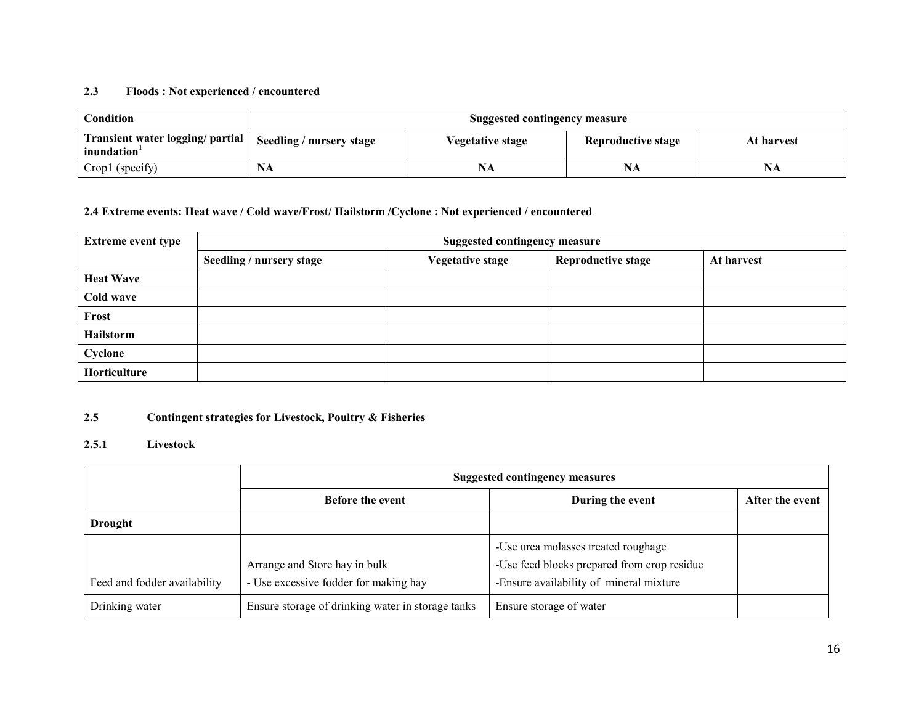#### 2.3 Floods : Not experienced / encountered

| Condition                                       | <b>Suggested contingency measure</b> |                  |                    |            |  |  |  |
|-------------------------------------------------|--------------------------------------|------------------|--------------------|------------|--|--|--|
| Transient water logging/ partial<br>inundation' | Seedling / nursery stage             | Vegetative stage | Reproductive stage | At harvest |  |  |  |
| Crop1 (specify)                                 | NA                                   | NA               | NA                 | NA         |  |  |  |

# 2.4 Extreme events: Heat wave / Cold wave/Frost/ Hailstorm /Cyclone : Not experienced / encountered

| <b>Extreme event type</b> | <b>Suggested contingency measure</b> |                         |                           |            |  |  |  |
|---------------------------|--------------------------------------|-------------------------|---------------------------|------------|--|--|--|
|                           | Seedling / nursery stage             | <b>Vegetative stage</b> | <b>Reproductive stage</b> | At harvest |  |  |  |
| <b>Heat Wave</b>          |                                      |                         |                           |            |  |  |  |
| Cold wave                 |                                      |                         |                           |            |  |  |  |
| Frost                     |                                      |                         |                           |            |  |  |  |
| Hailstorm                 |                                      |                         |                           |            |  |  |  |
| Cyclone                   |                                      |                         |                           |            |  |  |  |
| Horticulture              |                                      |                         |                           |            |  |  |  |

#### 2.5Contingent strategies for Livestock, Poultry & Fisheries

### 2.5.1 Livestock

|                              | <b>Suggested contingency measures</b>                                  |                                                                                        |                 |  |
|------------------------------|------------------------------------------------------------------------|----------------------------------------------------------------------------------------|-----------------|--|
|                              | <b>Before the event</b>                                                | During the event                                                                       | After the event |  |
| Drought                      |                                                                        |                                                                                        |                 |  |
|                              |                                                                        | -Use urea molasses treated roughage                                                    |                 |  |
| Feed and fodder availability | Arrange and Store hay in bulk<br>- Use excessive fodder for making hay | -Use feed blocks prepared from crop residue<br>-Ensure availability of mineral mixture |                 |  |
| Drinking water               | Ensure storage of drinking water in storage tanks                      | Ensure storage of water                                                                |                 |  |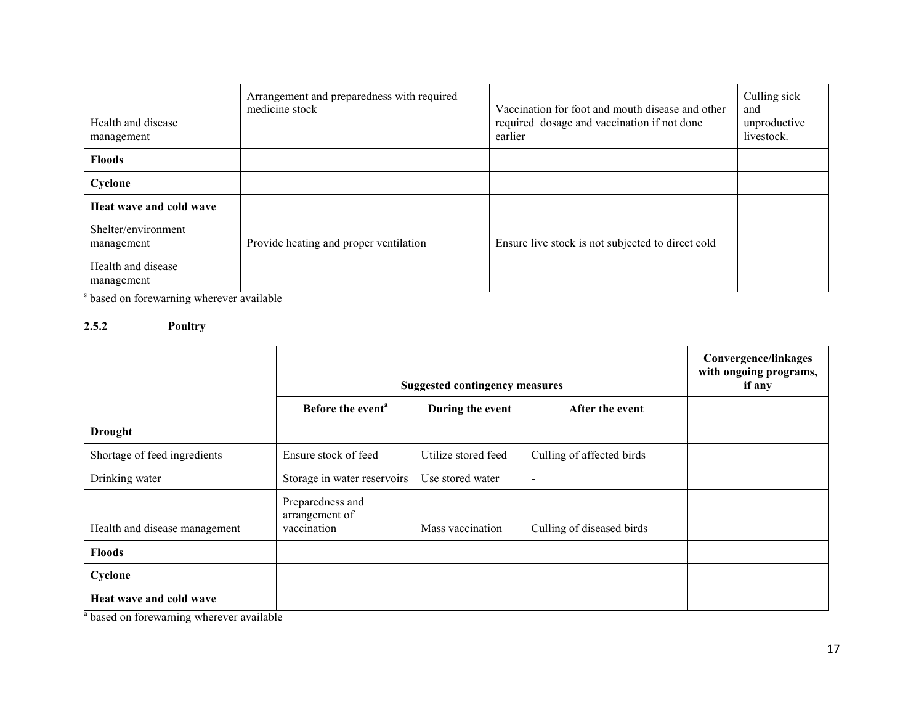| Health and disease<br>management  | Arrangement and preparedness with required<br>medicine stock | Vaccination for foot and mouth disease and other<br>required dosage and vaccination if not done<br>earlier | Culling sick<br>and<br>unproductive<br>livestock. |
|-----------------------------------|--------------------------------------------------------------|------------------------------------------------------------------------------------------------------------|---------------------------------------------------|
| <b>Floods</b>                     |                                                              |                                                                                                            |                                                   |
| Cyclone                           |                                                              |                                                                                                            |                                                   |
| Heat wave and cold wave           |                                                              |                                                                                                            |                                                   |
| Shelter/environment<br>management | Provide heating and proper ventilation                       | Ensure live stock is not subjected to direct cold                                                          |                                                   |
| Health and disease<br>management  |                                                              |                                                                                                            |                                                   |

<sup>s</sup> based on forewarning wherever available

# 2.5.2 Poultry

|                               | <b>Suggested contingency measures</b>             |                     |                           | Convergence/linkages<br>with ongoing programs,<br>if any |
|-------------------------------|---------------------------------------------------|---------------------|---------------------------|----------------------------------------------------------|
|                               | Before the event <sup>a</sup>                     | During the event    | After the event           |                                                          |
| <b>Drought</b>                |                                                   |                     |                           |                                                          |
| Shortage of feed ingredients  | Ensure stock of feed                              | Utilize stored feed | Culling of affected birds |                                                          |
| Drinking water                | Storage in water reservoirs                       | Use stored water    | $\overline{\phantom{0}}$  |                                                          |
| Health and disease management | Preparedness and<br>arrangement of<br>vaccination | Mass vaccination    | Culling of diseased birds |                                                          |
| <b>Floods</b>                 |                                                   |                     |                           |                                                          |
| Cyclone                       |                                                   |                     |                           |                                                          |
| Heat wave and cold wave       |                                                   |                     |                           |                                                          |

<sup>a</sup> based on forewarning wherever available